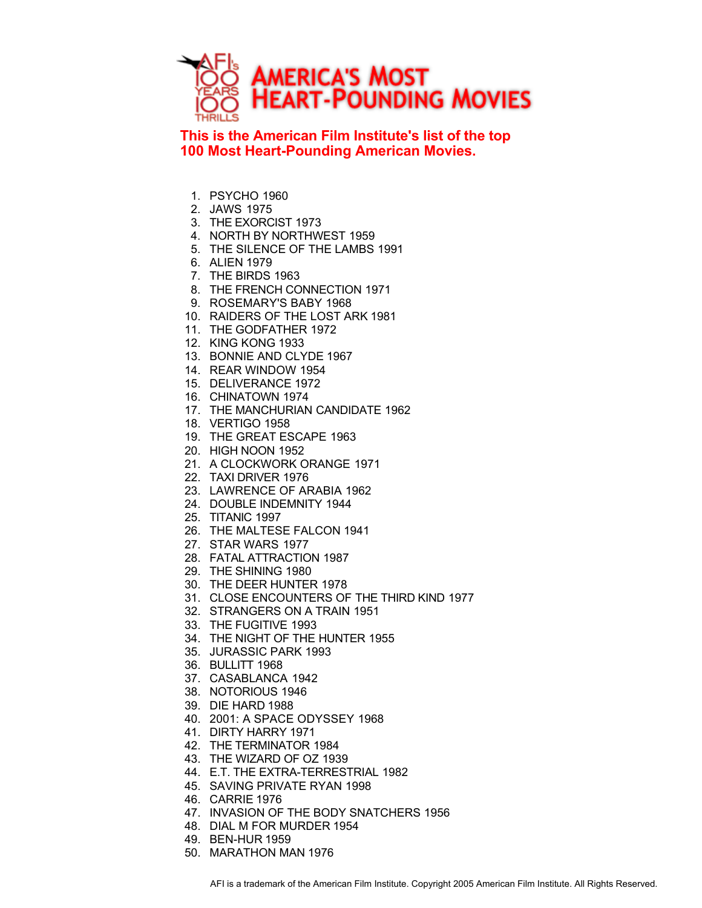

**This is the American Film Institute's list of the top 100 Most Heart-Pounding American Movies.**

- 1. PSYCHO 1960
- 2. JAWS 1975
- 3. THE EXORCIST 1973
- 4. NORTH BY NORTHWEST 1959
- 5. THE SILENCE OF THE LAMBS 1991
- 6. ALIEN 1979
- 7. THE BIRDS 1963
- 8. THE FRENCH CONNECTION 1971
- 9. ROSEMARY'S BABY 1968
- 10. RAIDERS OF THE LOST ARK 1981
- 11. THE GODFATHER 1972
- 12. KING KONG 1933
- 13. BONNIE AND CLYDE 1967
- 14. REAR WINDOW 1954
- 15. DELIVERANCE 1972
- 16. CHINATOWN 1974
- 17. THE MANCHURIAN CANDIDATE 1962
- 18. VERTIGO 1958
- 19. THE GREAT ESCAPE 1963
- 20. HIGH NOON 1952
- 21. A CLOCKWORK ORANGE 1971
- 22. TAXI DRIVER 1976
- 23. LAWRENCE OF ARABIA 1962
- 24. DOUBLE INDEMNITY 1944
- 25. TITANIC 1997
- 26. THE MALTESE FALCON 1941
- 27. STAR WARS 1977
- 28. FATAL ATTRACTION 1987
- 29. THE SHINING 1980
- 30. THE DEER HUNTER 1978
- 31. CLOSE ENCOUNTERS OF THE THIRD KIND 1977
- 32. STRANGERS ON A TRAIN 1951
- 33. THE FUGITIVE 1993
- 34. THE NIGHT OF THE HUNTER 1955
- 35. JURASSIC PARK 1993
- 36. BULLITT 1968
- 37. CASABLANCA 1942
- 38. NOTORIOUS 1946
- 39. DIE HARD 1988
- 40. 2001: A SPACE ODYSSEY 1968
- 41. DIRTY HARRY 1971
- 42. THE TERMINATOR 1984
- 43. THE WIZARD OF OZ 1939
- 44. E.T. THE EXTRA-TERRESTRIAL 1982
- 45. SAVING PRIVATE RYAN 1998
- 46. CARRIE 1976
- 47. INVASION OF THE BODY SNATCHERS 1956
- 48. DIAL M FOR MURDER 1954
- 49. BEN-HUR 1959
- 50. MARATHON MAN 1976